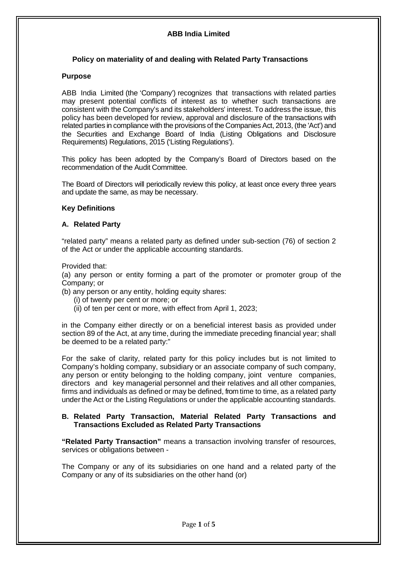# **ABB India Limited**

# **Policy on materiality of and dealing with Related Party Transactions**

### **Purpose**

ABB India Limited (the 'Company') recognizes that transactions with related parties may present potential conflicts of interest as to whether such transactions are consistent with the Company's and its stakeholders' interest. To address the issue, this policy has been developed for review, approval and disclosure of the transactions with related parties in compliance with the provisions of the Companies Act, 2013, (the 'Act') and the Securities and Exchange Board of India (Listing Obligations and Disclosure Requirements) Regulations, 2015 ('Listing Regulations').

This policy has been adopted by the Company's Board of Directors based on the recommendation of the Audit Committee.

The Board of Directors will periodically review this policy, at least once every three years and update the same, as may be necessary.

#### **Key Definitions**

#### **A. Related Party**

"related party" means a related party as defined under sub-section (76) of section 2 of the Act or under the applicable accounting standards.

Provided that:

(a) any person or entity forming a part of the promoter or promoter group of the Company; or

(b) any person or any entity, holding equity shares:

- (i) of twenty per cent or more; or
- (ii) of ten per cent or more, with effect from April 1, 2023;

in the Company either directly or on a beneficial interest basis as provided under section 89 of the Act, at any time, during the immediate preceding financial year; shall be deemed to be a related party:"

For the sake of clarity, related party for this policy includes but is not limited to Company's holding company, subsidiary or an associate [company](https://www.mca.gov.in/content/mca/global/en/acts-rules/ebooks/acts.html?act=NTk2MQ==) of such company, any person or entity belonging to the holding company, joint venture companies, directors and key managerial personnel and their relatives and all other companies, firms and individuals as defined or may be defined, from time to time, as a related party under the Act or the Listing Regulations or under the applicable accounting standards.

#### **B. Related Party Transaction, Material Related Party Transactions and Transactions Excluded as Related Party Transactions**

**"Related Party Transaction"** means a transaction involving transfer of resources, services or obligations between -

The Company or any of its subsidiaries on one hand and a related party of the Company or any of its subsidiaries on the other hand (or)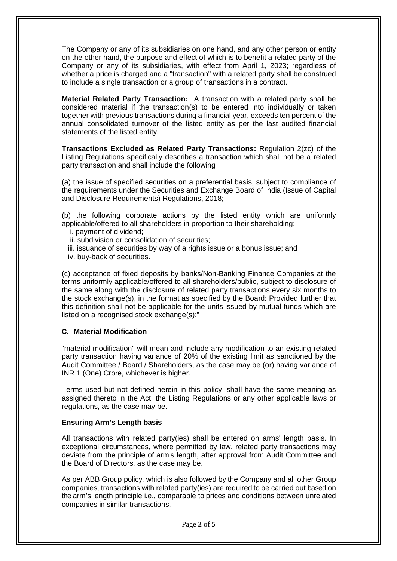The Company or any of its subsidiaries on one hand, and any other person or entity on the other hand, the purpose and effect of which is to benefit a related party of the Company or any of its subsidiaries, with effect from April 1, 2023; regardless of whether a price is charged and a "transaction" with a related party shall be construed to include a single transaction or a group of transactions in a contract.

**Material Related Party Transaction:** A transaction with a related party shall be considered material if the transaction(s) to be entered into individually or taken together with previous transactions during a financial year, exceeds ten percent of the annual consolidated turnover of the listed entity as per the last audited financial statements of the listed entity.

**Transactions Excluded as Related Party Transactions:** Regulation 2(zc) of the Listing Regulations specifically describes a transaction which shall not be a related party transaction and shall include the following

(a) the issue of specified securities on a preferential basis, subject to compliance of the requirements under the Securities and Exchange Board of India (Issue of Capital and Disclosure Requirements) Regulations, 2018;

(b) the following corporate actions by the listed entity which are uniformly applicable/offered to all shareholders in proportion to their shareholding:

- i. payment of dividend;
- ii. subdivision or consolidation of securities;
- iii. issuance of securities by way of a rights issue or a bonus issue; and
- iv. buy-back of securities.

(c) acceptance of fixed deposits by banks/Non-Banking Finance Companies at the terms uniformly applicable/offered to all shareholders/public, subject to disclosure of the same along with the disclosure of related party transactions every six months to the stock exchange(s), in the format as specified by the Board: Provided further that this definition shall not be applicable for the units issued by mutual funds which are listed on a recognised stock exchange(s);"

# **C. Material Modification**

"material modification" will mean and include any modification to an existing related party transaction having variance of 20% of the existing limit as sanctioned by the Audit Committee / Board / Shareholders, as the case may be (or) having variance of INR 1 (One) Crore, whichever is higher.

Terms used but not defined herein in this policy, shall have the same meaning as assigned thereto in the Act, the Listing Regulations or any other applicable laws or regulations, as the case may be.

# **Ensuring Arm's Length basis**

All transactions with related party(ies) shall be entered on arms' length basis. In exceptional circumstances, where permitted by law, related party transactions may deviate from the principle of arm's length, after approval from Audit Committee and the Board of Directors, as the case may be.

As per ABB Group policy, which is also followed by the Company and all other Group companies, transactions with related party(ies) are required to be carried out based on the arm's length principle i.e., comparable to prices and conditions between unrelated companies in similar transactions.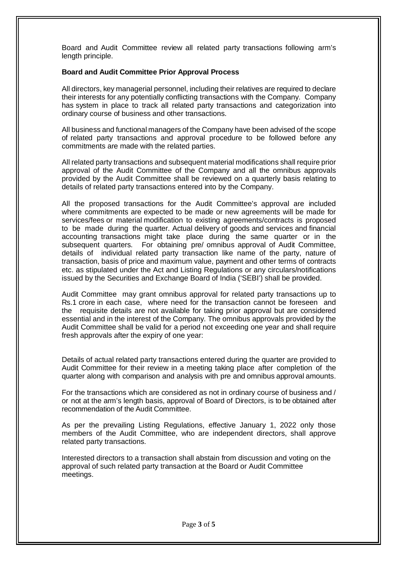Board and Audit Committee review all related party transactions following arm's length principle.

#### **Board and Audit Committee Prior Approval Process**

All directors, key managerial personnel, including their relatives are required to declare their interests for any potentially conflicting transactions with the Company. Company has system in place to track all related party transactions and categorization into ordinary course of business and other transactions.

All business and functional managers of the Company have been advised of the scope of related party transactions and approval procedure to be followed before any commitments are made with the related parties.

All related party transactions and subsequent material modifications shall require prior approval of the Audit Committee of the Company and all the omnibus approvals provided by the Audit Committee shall be reviewed on a quarterly basis relating to details of related party transactions entered into by the Company.

All the proposed transactions for the Audit Committee's approval are included where commitments are expected to be made or new agreements will be made for services/fees or material modification to existing agreements/contracts is proposed to be made during the quarter. Actual delivery of goods and services and financial accounting transactions might take place during the same quarter or in the subsequent quarters. For obtaining pre/ omnibus approval of Audit Committee, details of individual related party transaction like name of the party, nature of transaction, basis of price and maximum value, payment and other terms of contracts etc. as stipulated under the Act and Listing Regulations or any circulars/notifications issued by the Securities and Exchange Board of India ('SEBI') shall be provided.

Audit Committee may grant omnibus approval for related party transactions up to Rs.1 crore in each case, where need for the transaction cannot be foreseen and the requisite details are not available for taking prior approval but are considered essential and in the interest of the Company. The omnibus approvals provided by the Audit Committee shall be valid for a period not exceeding one year and shall require fresh approvals after the expiry of one year:

Details of actual related party transactions entered during the quarter are provided to Audit Committee for their review in a meeting taking place after completion of the quarter along with comparison and analysis with pre and omnibus approval amounts.

For the transactions which are considered as not in ordinary course of business and / or not at the arm's length basis, approval of Board of Directors, is to be obtained after recommendation of the Audit Committee.

As per the prevailing Listing Regulations, effective January 1, 2022 only those members of the Audit Committee, who are independent directors, shall approve related party transactions.

Interested directors to a transaction shall abstain from discussion and voting on the approval of such related party transaction at the Board or Audit Committee meetings.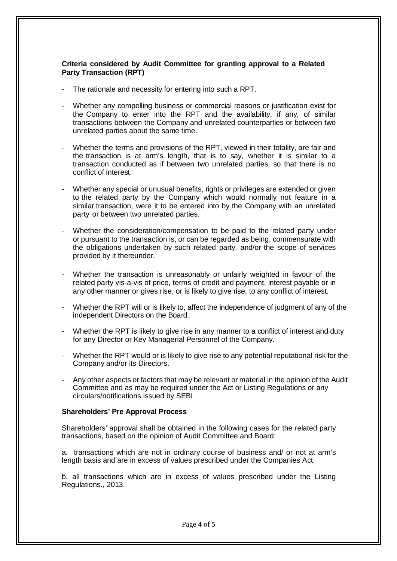# **Criteria considered by Audit Committee for granting approval to a Related Party Transaction (RPT)**

- The rationale and necessity for entering into such a RPT.
- Whether any compelling business or commercial reasons or justification exist for the Company to enter into the RPT and the availability, if any, of similar transactions between the Company and unrelated counterparties or between two unrelated parties about the same time.
- Whether the terms and provisions of the RPT, viewed in their totality, are fair and the transaction is at arm's length, that is to say, whether it is similar to a transaction conducted as if between two unrelated parties, so that there is no conflict of interest.
- Whether any special or unusual benefits, rights or privileges are extended or given to the related party by the Company which would normally not feature in a similar transaction, were it to be entered into by the Company with an unrelated party or between two unrelated parties.
- Whether the consideration/compensation to be paid to the related party under or pursuant to the transaction is, or can be regarded as being, commensurate with the obligations undertaken by such related party, and/or the scope of services provided by it thereunder.
- Whether the transaction is unreasonably or unfairly weighted in favour of the related party vis-a-vis of price, terms of credit and payment, interest payable or in any other manner or gives rise, or is likely to give rise, to any conflict of interest.
- Whether the RPT will or is likely to, affect the independence of judgment of any of the independent Directors on the Board.
- Whether the RPT is likely to give rise in any manner to a conflict of interest and duty for any Director or Key Managerial Personnel of the Company.
- Whether the RPT would or is likely to give rise to any potential reputational risk for the Company and/or its Directors.
- Any other aspects or factors that may be relevant or material in the opinion of the Audit Committee and as may be required under the Act or Listing Regulations or any circulars/notifications issued by SEBI

#### **Shareholders' Pre Approval Process**

Shareholders' approval shall be obtained in the following cases for the related party transactions, based on the opinion of Audit Committee and Board:

a. transactions which are not in ordinary course of business and/ or not at arm's length basis and are in excess of values prescribed under the Companies Act;

b. all transactions which are in excess of values prescribed under the Listing Regulations., 2013.